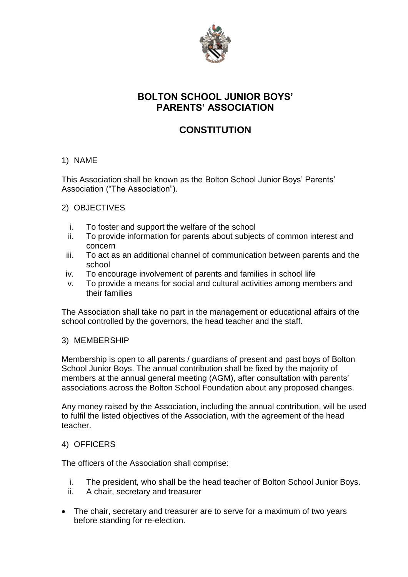

## **BOLTON SCHOOL JUNIOR BOYS' PARENTS' ASSOCIATION**

# **CONSTITUTION**

#### 1) NAME

This Association shall be known as the Bolton School Junior Boys' Parents' Association ("The Association").

### 2) OBJECTIVES

- i. To foster and support the welfare of the school
- ii. To provide information for parents about subjects of common interest and concern
- iii. To act as an additional channel of communication between parents and the school
- iv. To encourage involvement of parents and families in school life
- v. To provide a means for social and cultural activities among members and their families

The Association shall take no part in the management or educational affairs of the school controlled by the governors, the head teacher and the staff.

#### 3) MEMBERSHIP

Membership is open to all parents / guardians of present and past boys of Bolton School Junior Boys. The annual contribution shall be fixed by the majority of members at the annual general meeting (AGM), after consultation with parents' associations across the Bolton School Foundation about any proposed changes.

Any money raised by the Association, including the annual contribution, will be used to fulfil the listed objectives of the Association, with the agreement of the head teacher.

#### 4) OFFICERS

The officers of the Association shall comprise:

- i. The president, who shall be the head teacher of Bolton School Junior Boys.
- ii. A chair, secretary and treasurer
- The chair, secretary and treasurer are to serve for a maximum of two years before standing for re-election.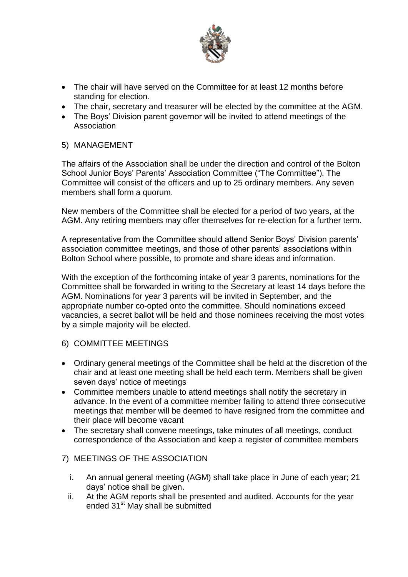

- The chair will have served on the Committee for at least 12 months before standing for election.
- The chair, secretary and treasurer will be elected by the committee at the AGM.
- The Boys' Division parent governor will be invited to attend meetings of the Association
- 5) MANAGEMENT

The affairs of the Association shall be under the direction and control of the Bolton School Junior Boys' Parents' Association Committee ("The Committee"). The Committee will consist of the officers and up to 25 ordinary members. Any seven members shall form a quorum.

New members of the Committee shall be elected for a period of two years, at the AGM. Any retiring members may offer themselves for re-election for a further term.

A representative from the Committee should attend Senior Boys' Division parents' association committee meetings, and those of other parents' associations within Bolton School where possible, to promote and share ideas and information.

With the exception of the forthcoming intake of year 3 parents, nominations for the Committee shall be forwarded in writing to the Secretary at least 14 days before the AGM. Nominations for year 3 parents will be invited in September, and the appropriate number co-opted onto the committee. Should nominations exceed vacancies, a secret ballot will be held and those nominees receiving the most votes by a simple majority will be elected.

- 6) COMMITTEE MEETINGS
- Ordinary general meetings of the Committee shall be held at the discretion of the chair and at least one meeting shall be held each term. Members shall be given seven days' notice of meetings
- Committee members unable to attend meetings shall notify the secretary in advance. In the event of a committee member failing to attend three consecutive meetings that member will be deemed to have resigned from the committee and their place will become vacant
- The secretary shall convene meetings, take minutes of all meetings, conduct correspondence of the Association and keep a register of committee members

#### 7) MEETINGS OF THE ASSOCIATION

- i. An annual general meeting (AGM) shall take place in June of each year; 21 days' notice shall be given.
- ii. At the AGM reports shall be presented and audited. Accounts for the year ended 31<sup>st</sup> May shall be submitted